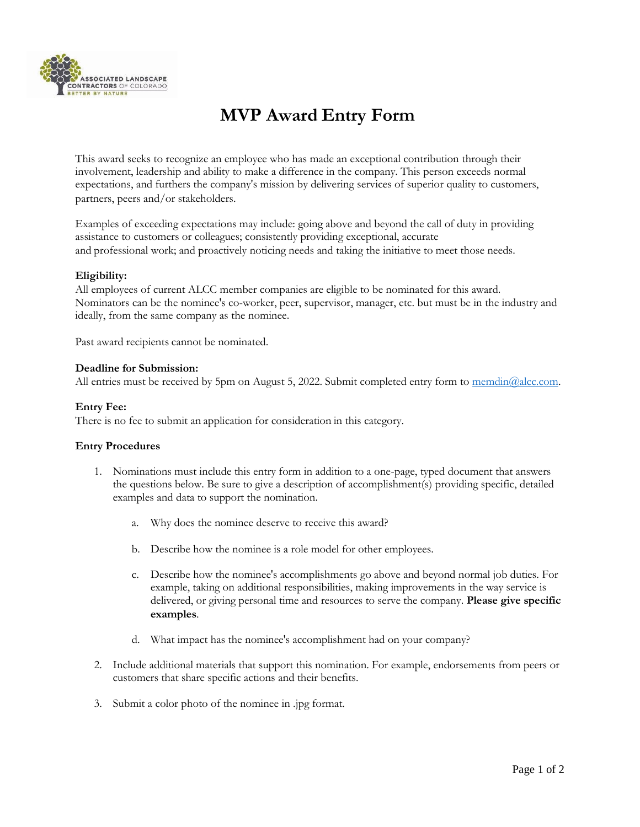

# **MVP Award Entry Form**

This award seeks to recognize an employee who has made an exceptional contribution through their involvement, leadership and ability to make a difference in the company. This person exceeds normal expectations, and furthers the company's mission by delivering services of superior quality to customers, partners, peers and/or stakeholders.   

Examples of exceeding expectations may include: going above and beyond the call of duty in providing assistance to customers or colleagues; consistently providing exceptional, accurate and professional work; and proactively noticing needs and taking the initiative to meet those needs.   

## **Eligibility:**

All employees of current ALCC member companies are eligible to be nominated for this award. Nominators can be the nominee's co-worker, peer, supervisor, manager, etc. but must be in the industry and ideally, from the same company as the nominee.

Past award recipients cannot be nominated.   

### **Deadline for Submission:**

All entries must be received by 5pm on August 5, 2022. Submit completed entry form to  $\overline{\text{mendin}(Q_1 \text{alcc.com}}$ .

### **Entry Fee:**

There is no fee to submit an application for consideration in this category.  

## **Entry Procedures**

- 1. Nominations must include this entry form in addition to a one-page, typed document that answers the questions below. Be sure to give a description of accomplishment(s) providing specific, detailed examples and data to support the nomination.
	- a. Why does the nominee deserve to receive this award?
	- b. Describe how the nominee is a role model for other employees.
	- c. Describe how the nominee's accomplishments go above and beyond normal job duties. For example, taking on additional responsibilities, making improvements in the way service is delivered, or giving personal time and resources to serve the company. **Please give specific examples**.
	- d. What impact has the nominee's accomplishment had on your company?
- 2. Include additional materials that support this nomination. For example, endorsements from peers or customers that share specific actions and their benefits.
- 3. Submit a color photo of the nominee in .jpg format.